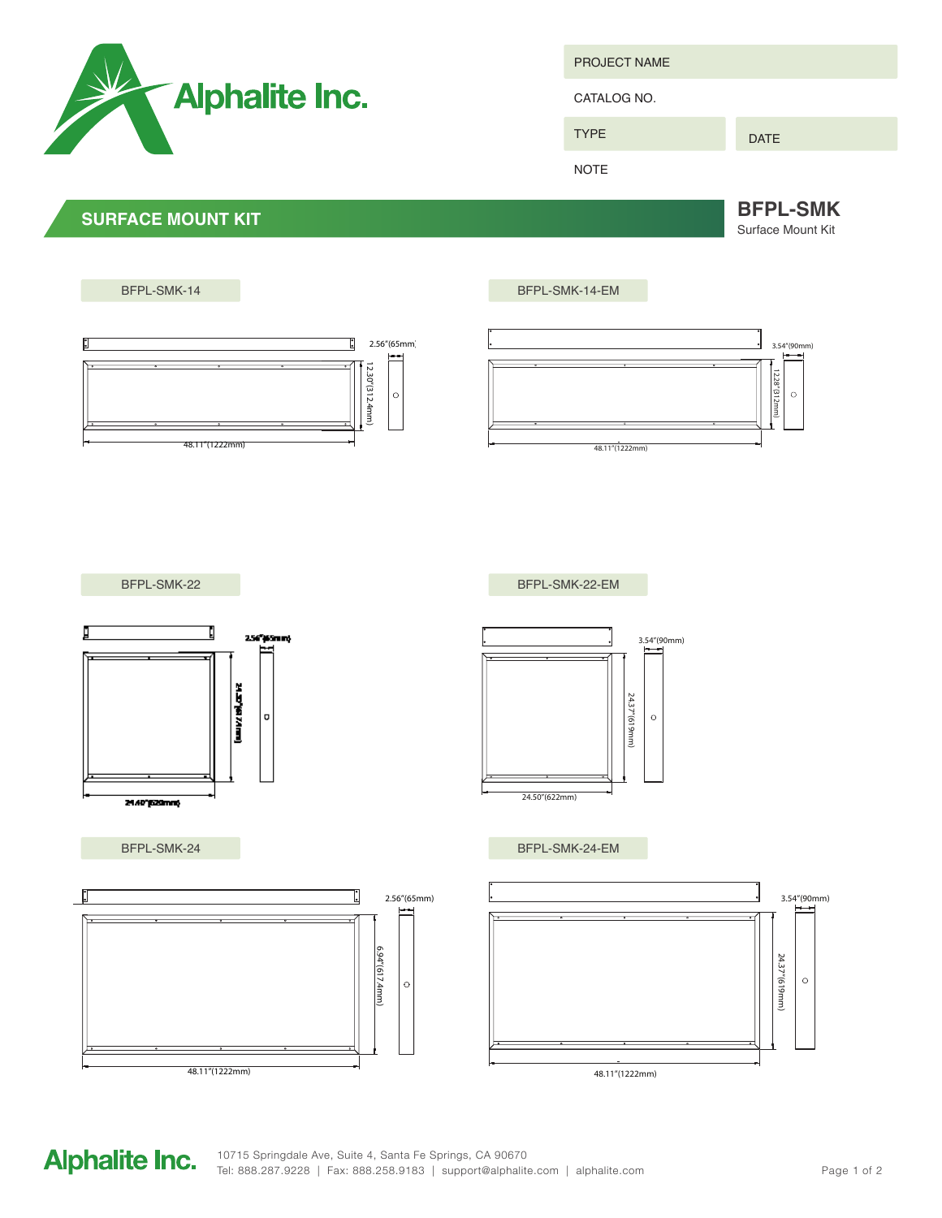

PROJECT NAME

CATALOG NO.

DATE

NOTE

TYPE

**SURFACE MOUNT KIT BEPL-SMK** Surface Mount Kit

BFPL-SMK-14 BFPL-SMK-14-EM  $\mathbf{E}$ 2.56"(65mm) 3.54"(90mm) 12.30"(312.4mm 12.30"(312.4mm) 12.28"(312mm) 2.28"(312mm)  $\circ$  $\circ$ 48.11"(1222mm) 48.11"(1222mm) BFPL-SMK-22 BFPL-SMK-22-EM Ţ D 256°/65mm) 3.54"(90mm) **CHANGER** 24.37"(619mm) 24.37"(619mm)  $\hbox{\tt o}$  $\circ$ 24.50"(622mm) 21.40°E20mm BFPL-SMK-24 BFPL-SMK-24-EMn 2.56"(65mm) 3.54"(90mm) 6.94"(617.4mm) 6.94"(617.4mm) 24.37"(619mm) 24.37"(619mm)  $\circ$  $\circ$ 

48.11"(1222mm)

**Alphalite Inc.** 

48.11"(1222mm)